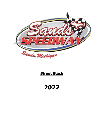

# **Street Stock**

**2022**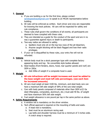## **1. General**

- a. If you are building a car for the first time, please contact [sandsspeedway@gmail.com](mailto:sandsspeedway@gmail.com) to speak to an MCDA representative before building.
- b. All rules will be enforced as written. Each driver and crew are responsible for knowing the track policies. All cars will be inspected for safety and rule compliance.
- c. These rules shall govern the conditions of all events; all participants are deemed to have complied with these rules.
- d. They are intended as a guide for the conduct of the sport and are in no way a guarantee against injury or death to participants.
- e. Two-way radios are allowed to safety.
	- a. Spotters must only sit on the top two rows of the pit bleachers.
	- b. Anyone caught blocking will be black flagged and lose their radio privileges.
- f. If your car is disqualified by these rules, your entry fee will not be refunded.

## **2. Vehicle**

- a. Vehicle body must be a stock passenger type with complete factory appearing body and top. No convertible style bodies allowed.
- b. Steel bodies (front fenders, doors, hood, rear quarter panels and roof) are OEM or 20Ga.
	- a. Add 20lbs of weight if a composite hood is used.

## **3. Weight**

- a. **All rule infractions will be weight increases and must be added to the base weight and meet left side percentages. (see each item for increased amounts)**
- b. All cars must weigh at least 3100 lbs. minimum, and steel body cars can have a maximum left side weight of 58% of the cars total weight.
- c. Cars with body panels composed of materials other than OEM or22 Ga steel (fiberglass, composites, aluminum, etc.) must add 40 lbs. of weight and have maximum 56% left side weight.
- d. Fuel weight allowance is one pound per lap in the same portion as above.

## **4. Safety Requirements**

- a. A window net is mandatory on the driver window.
- b. Tech official approval is required on the mounting of belts and seats.
	- a. A head rest is mandatory.
	- b. Seat must be an aluminum racing seat.
	- c. Lap belts and shoulder harness must be a minimum of 3 inches wide. A crotch strap is required.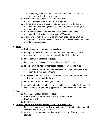- d. A date tag is required on all seat belts and condition must be approved by the Tech Inspector.
- c. Helmets must be at least a Snell 95 rated helmet.
- d. A visor or goggles are mandatory for eye protection.
- e. A single layer SFI 3.2 fire suit is required. A 2-layer SFI 5 suit is recommended. Fireproof gloves are mandatory; Nomex racing gloves recommended.
- f. Boots or racing shoes are required. Racing shoes are highly recommended. Athletic-type shoes are NOT accepted.
- g. A dry powder, fully charged, 2 lbs. minimum extinguisher must be mounting in all cars within reach of the driver and safety crew. Mounting must have quick release.

#### **5. Body**

- a. No functional fresh air hood scoops allowed.
- b. Body panels must be fabricated from a minimum of 22 Ga steel and resemble the factory stock panel to avoid the 40 lb. weight rule.
- c. Full width windshields are required.
- d. Rear quarter windows or opera windows may be Plexi-glass.
- e. Firewall must be stock or fabricated "footbox" 18 Ga minimum.
	- a. All holes in the firewall must be covered and seal the engine area from the driver compartment.
- f. A 1/8-inch steel pan plate must be welded in from the rear of the driver seat to the heel area of the firewall.
- g. Front and rear wrecker hooks/loops required.
- h. An outer rub rail next to the body is permitted and is to be flush mounted. Metal rub rails are to be no bigger than 1 square inch with tapered ends.

#### **6. Fuel**

- a. Gasoline only! No alcohol-based fuels.
- b. No fuel lines may be exposed in the driver compartment.
- c. No nitrous oxide.
- d. No cool can.

#### **7. Chassis, Roll Cage and Framework Structural Additions**

- a. Roll cage material used must be a minimum of  $1\frac{3}{4}$  inch in diameter with walls not less than .095-inch think.
- b. Cars must have an 8-point perimeter roll cage. No offset roll cages allowed.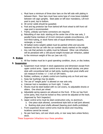- c. Must have a minimum of three door bars on the left side with plating in between them. Door bars must have some type of cross brace installed between roll cage uprights. Steel plate on left door mandatory, 1/8-inch post to post, top to bottom.
- d. All corner welds should be gusseted.
- e. Foot and leg protector bar from behind left front wheel to left front roll cage post is recommended.
- f. Frame, unibody sub frame connectors are required.
- g. Rebuilding of rear stub: starting at the center line of the rear axle, 3 parallel frame members of 10-inch minimum outside circumference, 1/8 inch-thick tubing, or stock frame rails of equal dimensions (square, rectangle, or round)
- h. All ballast (extra weight) added must be painted white and securely fastened into the car with the car number clearly marked on the weight.
- i. Any rule that pertains to safety must be followed. Other rule infractions will be penalized with a 100-pound weight increase per infraction, added to the minimum weight of the car (see rule #3).

#### **8. Brakes**

a. All four brakes must be in good operating condition, drum, or disc brakes.

# **9. Suspension**

- a. Suspension must remain in stock appearance and dimension except front upper control arms. Upper control arms may be steel tubular, one piece style with conventional bolt on ball joints, bushing style pivot shafts and can measure 8 inches  $+/- 1$  inch on GM metric.
- b. Rubber, urethane, or plastic control arm bushing only on front and rear.
- c. Sway bar bushings may be plastic.
- d. The use of "weight jacks" is allowed on rear axle only.
- e. Coleman hub is mandatory on front right. 5 studs.
- f. Shocks must be steel bodied with no coil covers, no adjustable shocks or sliders. One shock per wheel.
- g. Adjustable spring spacers are allowed on the front. If the car has front screw jacks, they must be locked so they cannot be adjusted at the track. (Approved by Tech Inspector)
- h. Upper control arms must be steel construction only, no aluminum.
	- a. One piece style allowed, conventional style bolt on ball joint allowed.
	- b. Bushing style pivot shafts allowed (bearing pivot shafts prohibited)
- i. Front suspension lower control arms must be stock and mounting locations cannot be moved.
- j. No pan hard bars, coil over shock units, or rear sway bars unless factory stock.

These Suspension Infractions incur these penalties: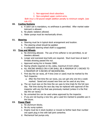- 1. Non-approved shock absorbers
- 2. Non-compliant upper control arms.

Both incur a 50-pound weight addition penalty to minimum weight. (see rule #3)

## **10. Cooling Systems**

- a. A catch can is mandatory, no antifreeze is permitted. After market water lubricant is allowed.
- b. No plastic radiators allowed.
- c. Water pumps must be mechanically driven.

## **11. Steering**

- a. Steering must be in typical stock arrangement and location.
- b. The steering wheel should be padded.
- c. A collapsible steering wheel shaft is suggested.

## **12. Tires and Wheels**

- a. No shimming allowed. The use of tire softener is not permitted, no air bleeders allowed.
- b. Longer and oversized stud bolts are required. Stud must have at least 3 threads showing passed the nut.
- c. Approved racing tire is Hoosier D800.
- d. Racing wheels required on ALL sides, maximum 8-inch wheel.
- e. ALL RACING WHEELS ON A CAR SHALL BE A MINIMUM OF 2-INCHES TO A MAXIMUM OF 4-INCHES OF BACKSPACING.
- f. First day the car races, all 4 tires (new or used) must be marked by the Tech Inspector.
	- a. After the first time the car races, you can get only one tire a week marked. Saved and unused new tires can be used at any time.
- g. The car must race on the tires the car uses to time trials for the full race day. Flat tires during the race day may be replaced with approval of the inspector with any tire that was previously marked (unless it is the first day the car races)/
- h. No unmarked tire can be used unless approved by the inspector.
- i. If you are not buying a new tire, get a used tire marked to possible use in the future.

# **13. Power Plant**

- a. No aluminum blocks.
- b. No dry sump system.
- c. Engine must be in stock location or moved no farther back than number one spark plug in line with ball joint centerline.
- d. Mechanical fuel pumps only.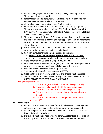- e. Any stock single point or magnetic pickup type ignition may be used. Stock type coil must be used.
- f. Factory stock 2-barrel carburetor, 4412 Holley, no more than one inch adapter plate between intake and carburetor.
- g. All throttles must have a minimum of 2 return springs.
- h. Stock cast iron 2bbl intake, no marine intakes, no porting or polishing. The only aluminum intakes permitted: GM: Edelbrock Performer #2101, RPM #7101, #7116, Speedway Motors Part #91011465. Ford: Edelbrock #371, #7121, #2181, #7181
- i. Stock appearing valve train, 1 3/8-inch maximum diameter valve springs, the use of stud girdles is allowed and flat tapper camshaft, no roller cams, or roller rockers. The use of roller tip rockers is allowed but must have a stock fulcrum.
- j. No aluminum heads; must be cast iron factory street production heads only. No turbo, bowtie, angle plug cylinder heads.
- k. Cast iron exhaust manifold only, no porting or polishing.

## a. **No car noise can be above 100 decibels from 100 feet.**

- b. No exhaust popping or other irritating or irregular exhaust noises.
- l. Crate motor for the SS class is GM part #19258602
- m. Must have Sands Speedway Owner (SSO) approval before you purchase a new or used motor and must have a bill of sale at the track.
- n. SSO approved 650 Holley carburetor part #0-4777 only.
- o. SSO approved Schoenfeld headers part #185VCM
- p. Crate motor cars must follow all SS rules and engine must be sealed.
- q. You must use an approved source for any crate motor repairs or rebuilds. CHECK BEFORE COMPLETING ANY SUCH WORK!

## Power Plant infractions:

- **1.** Incorrect engine setback = 100-pound weight penalty
- **2.** Incorrect intake manifold = 300-pound weight penalty
- **3.** Incorrect carburetor = 300-pound weight penalty
- **4.** Incorrect clutch and pressure plate = 100-pound weight penalty
- **5.** Incorrect cast iron heads = 100-pound weight penalty

#### (see rule #3)

## **14. Drive Train**

- a. Any stock transmission must have forward and reverse in working order, automatic transmission must have stock appearing torque converter.
- b. Clutch and pressure plate must be a minimum of 10-inches in diameter. No multi-disc clutches allowed.
- c. Drive shaft must be painted white for safety. A safety loop is required on the first quarter of the drive shaft. No aluminum driveshaft allowed.